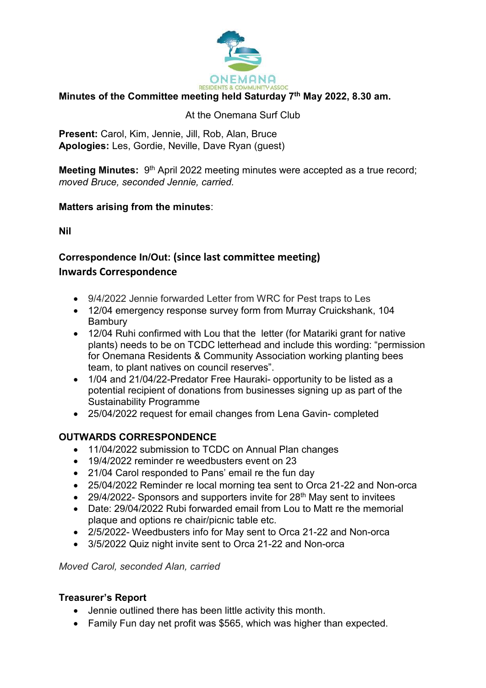

## **Minutes of the Committee meeting held Saturday 7th May 2022, 8.30 am.**

#### At the Onemana Surf Club

**Present:** Carol, Kim, Jennie, Jill, Rob, Alan, Bruce **Apologies:** Les, Gordie, Neville, Dave Ryan (guest)

**Meeting Minutes:** 9<sup>th</sup> April 2022 meeting minutes were accepted as a true record; *moved Bruce, seconded Jennie, carried.* 

### **Matters arising from the minutes**:

**Nil** 

# **Correspondence In/Out: (since last committee meeting) Inwards Correspondence**

- 9/4/2022 Jennie forwarded Letter from WRC for Pest traps to Les
- 12/04 emergency response survey form from Murray Cruickshank, 104 Bambury
- 12/04 Ruhi confirmed with Lou that the letter (for Matariki grant for native plants) needs to be on TCDC letterhead and include this wording: "permission for Onemana Residents & Community Association working planting bees team, to plant natives on council reserves".
- 1/04 and 21/04/22-Predator Free Hauraki- opportunity to be listed as a potential recipient of donations from businesses signing up as part of the Sustainability Programme
- 25/04/2022 request for email changes from Lena Gavin- completed

# **OUTWARDS CORRESPONDENCE**

- 11/04/2022 submission to TCDC on Annual Plan changes
- 19/4/2022 reminder re weedbusters event on 23
- 21/04 Carol responded to Pans' email re the fun day
- 25/04/2022 Reminder re local morning tea sent to Orca 21-22 and Non-orca
- 29/4/2022- Sponsors and supporters invite for  $28<sup>th</sup>$  May sent to invitees
- Date: 29/04/2022 Rubi forwarded email from Lou to Matt re the memorial plaque and options re chair/picnic table etc.
- 2/5/2022- Weedbusters info for May sent to Orca 21-22 and Non-orca
- 3/5/2022 Quiz night invite sent to Orca 21-22 and Non-orca

*Moved Carol, seconded Alan, carried* 

### **Treasurer's Report**

- Jennie outlined there has been little activity this month.
- Family Fun day net profit was \$565, which was higher than expected.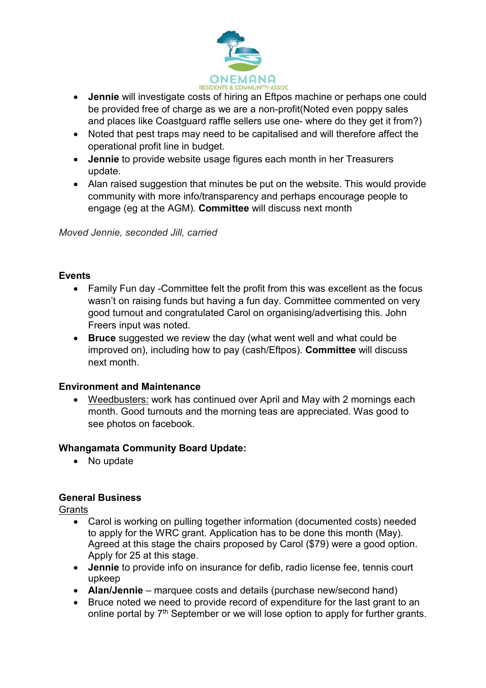

- **Jennie** will investigate costs of hiring an Eftpos machine or perhaps one could be provided free of charge as we are a non-profit(Noted even poppy sales and places like Coastguard raffle sellers use one- where do they get it from?)
- Noted that pest traps may need to be capitalised and will therefore affect the operational profit line in budget.
- **Jennie** to provide website usage figures each month in her Treasurers update.
- Alan raised suggestion that minutes be put on the website. This would provide community with more info/transparency and perhaps encourage people to engage (eg at the AGM). **Committee** will discuss next month

*Moved Jennie, seconded Jill, carried* 

### **Events**

- Family Fun day -Committee felt the profit from this was excellent as the focus wasn't on raising funds but having a fun day. Committee commented on very good turnout and congratulated Carol on organising/advertising this. John Freers input was noted.
- **Bruce** suggested we review the day (what went well and what could be improved on), including how to pay (cash/Eftpos). **Committee** will discuss next month.

### **Environment and Maintenance**

 Weedbusters: work has continued over April and May with 2 mornings each month. Good turnouts and the morning teas are appreciated. Was good to see photos on facebook.

### **Whangamata Community Board Update:**

• No update

# **General Business**

**Grants** 

- Carol is working on pulling together information (documented costs) needed to apply for the WRC grant. Application has to be done this month (May). Agreed at this stage the chairs proposed by Carol (\$79) were a good option. Apply for 25 at this stage.
- **Jennie** to provide info on insurance for defib, radio license fee, tennis court upkeep
- **Alan/Jennie** marquee costs and details (purchase new/second hand)
- Bruce noted we need to provide record of expenditure for the last grant to an online portal by 7<sup>th</sup> September or we will lose option to apply for further grants.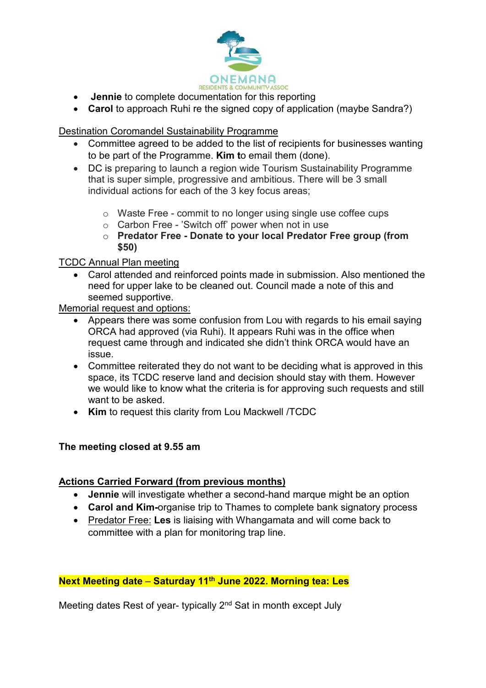

- **Jennie** to complete documentation for this reporting
- **Carol** to approach Ruhi re the signed copy of application (maybe Sandra?)

#### Destination Coromandel Sustainability Programme

- Committee agreed to be added to the list of recipients for businesses wanting to be part of the Programme. **Kim t**o email them (done).
- DC is preparing to launch a region wide Tourism Sustainability Programme that is super simple, progressive and ambitious. There will be 3 small individual actions for each of the 3 key focus areas;
	- o Waste Free commit to no longer using single use coffee cups
	- o Carbon Free 'Switch off' power when not in use
	- o **Predator Free Donate to your local Predator Free group (from \$50)**

#### TCDC Annual Plan meeting

 Carol attended and reinforced points made in submission. Also mentioned the need for upper lake to be cleaned out. Council made a note of this and seemed supportive.

Memorial request and options:

- Appears there was some confusion from Lou with regards to his email saying ORCA had approved (via Ruhi). It appears Ruhi was in the office when request came through and indicated she didn't think ORCA would have an issue.
- Committee reiterated they do not want to be deciding what is approved in this space, its TCDC reserve land and decision should stay with them. However we would like to know what the criteria is for approving such requests and still want to be asked.
- **Kim** to request this clarity from Lou Mackwell /TCDC

### **The meeting closed at 9.55 am**

#### **Actions Carried Forward (from previous months)**

- **Jennie** will investigate whether a second-hand marque might be an option
- **Carol and Kim-**organise trip to Thames to complete bank signatory process
- Predator Free: **Les** is liaising with Whangamata and will come back to committee with a plan for monitoring trap line.

### **Next Meeting date** – **Saturday 11th June 2022. Morning tea: Les**

Meeting dates Rest of year- typically 2<sup>nd</sup> Sat in month except July